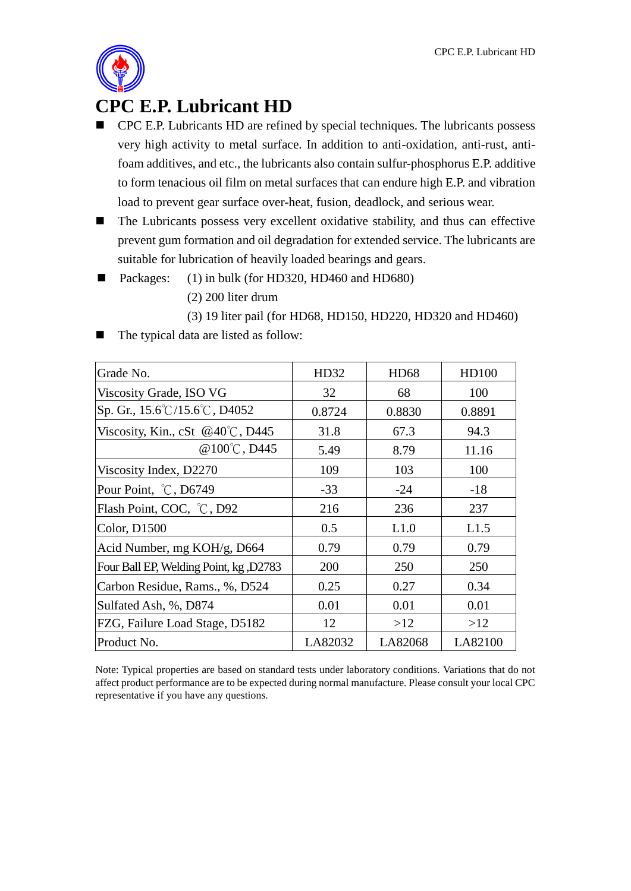

## **CPC E.P. Lubricant HD**

- CPC E.P. Lubricants HD are refined by special techniques. The lubricants possess very high activity to metal surface. In addition to anti-oxidation, anti-rust, antifoam additives, and etc., the lubricants also contain sulfur-phosphorus E.P. additive to form tenacious oil film on metal surfaces that can endure high E.P. and vibration load to prevent gear surface over-heat, fusion, deadlock, and serious wear.
- The Lubricants possess very excellent oxidative stability, and thus can effective prevent gum formation and oil degradation for extended service. The lubricants are suitable for lubrication of heavily loaded bearings and gears.
- Packages: (1) in bulk (for HD320, HD460 and HD680)
	- (2) 200 liter drum
	- (3) 19 liter pail (for HD68, HD150, HD220, HD320 and HD460)
- The typical data are listed as follow:

| Grade No.                                          | HD32    | <b>HD68</b> | HD100   |
|----------------------------------------------------|---------|-------------|---------|
| Viscosity Grade, ISO VG                            | 32      | 68          | 100     |
| Sp. Gr., $15.6^{\circ}$ C/15.6 $^{\circ}$ C, D4052 | 0.8724  | 0.8830      | 0.8891  |
| Viscosity, Kin., cSt $@40^{\circ}\text{C}$ , D445  | 31.8    | 67.3        | 94.3    |
| @ $100^{\circ}$ C, D445                            | 5.49    | 8.79        | 11.16   |
| Viscosity Index, D2270                             | 109     | 103         | 100     |
| Pour Point, °C, D6749                              | $-33$   | $-24$       | $-18$   |
| Flash Point, COC, °C, D92                          | 216     | 236         | 237     |
| Color, D1500                                       | 0.5     | L1.0        | L1.5    |
| Acid Number, mg KOH/g, D664                        | 0.79    | 0.79        | 0.79    |
| Four Ball EP, Welding Point, kg, D2783             | 200     | 250         | 250     |
| Carbon Residue, Rams., %, D524                     | 0.25    | 0.27        | 0.34    |
| Sulfated Ash, %, D874                              | 0.01    | 0.01        | 0.01    |
| FZG, Failure Load Stage, D5182                     | 12      | >12         | >12     |
| Product No.                                        | LA82032 | LA82068     | LA82100 |

Note: Typical properties are based on standard tests under laboratory conditions. Variations that do not affect product performance are to be expected during normal manufacture. Please consult your local CPC representative if you have any questions.